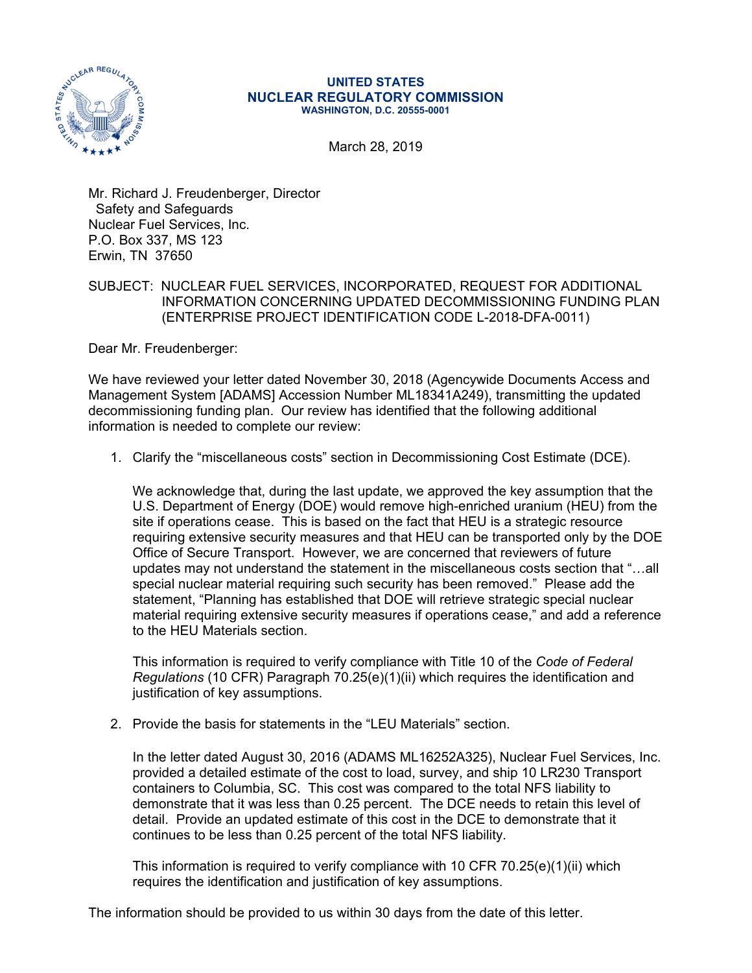

## **UNITED STATES NUCLEAR REGULATORY COMMISSION WASHINGTON, D.C. 20555-0001**

March 28, 2019

Mr. Richard J. Freudenberger, Director Safety and Safeguards Nuclear Fuel Services, Inc. P.O. Box 337, MS 123 Erwin, TN 37650

## SUBJECT: NUCLEAR FUEL SERVICES, INCORPORATED, REQUEST FOR ADDITIONAL INFORMATION CONCERNING UPDATED DECOMMISSIONING FUNDING PLAN (ENTERPRISE PROJECT IDENTIFICATION CODE L-2018-DFA-0011)

Dear Mr. Freudenberger:

We have reviewed your letter dated November 30, 2018 (Agencywide Documents Access and Management System [ADAMS] Accession Number ML18341A249), transmitting the updated decommissioning funding plan. Our review has identified that the following additional information is needed to complete our review:

1. Clarify the "miscellaneous costs" section in Decommissioning Cost Estimate (DCE).

We acknowledge that, during the last update, we approved the key assumption that the U.S. Department of Energy (DOE) would remove high-enriched uranium (HEU) from the site if operations cease. This is based on the fact that HEU is a strategic resource requiring extensive security measures and that HEU can be transported only by the DOE Office of Secure Transport. However, we are concerned that reviewers of future updates may not understand the statement in the miscellaneous costs section that "…all special nuclear material requiring such security has been removed." Please add the statement, "Planning has established that DOE will retrieve strategic special nuclear material requiring extensive security measures if operations cease," and add a reference to the HEU Materials section.

This information is required to verify compliance with Title 10 of the *Code of Federal Regulations* (10 CFR) Paragraph 70.25(e)(1)(ii) which requires the identification and justification of key assumptions.

2. Provide the basis for statements in the "LEU Materials" section.

In the letter dated August 30, 2016 (ADAMS ML16252A325), Nuclear Fuel Services, Inc. provided a detailed estimate of the cost to load, survey, and ship 10 LR230 Transport containers to Columbia, SC. This cost was compared to the total NFS liability to demonstrate that it was less than 0.25 percent. The DCE needs to retain this level of detail. Provide an updated estimate of this cost in the DCE to demonstrate that it continues to be less than 0.25 percent of the total NFS liability.

This information is required to verify compliance with 10 CFR 70.25 $(e)(1)(ii)$  which requires the identification and justification of key assumptions.

The information should be provided to us within 30 days from the date of this letter.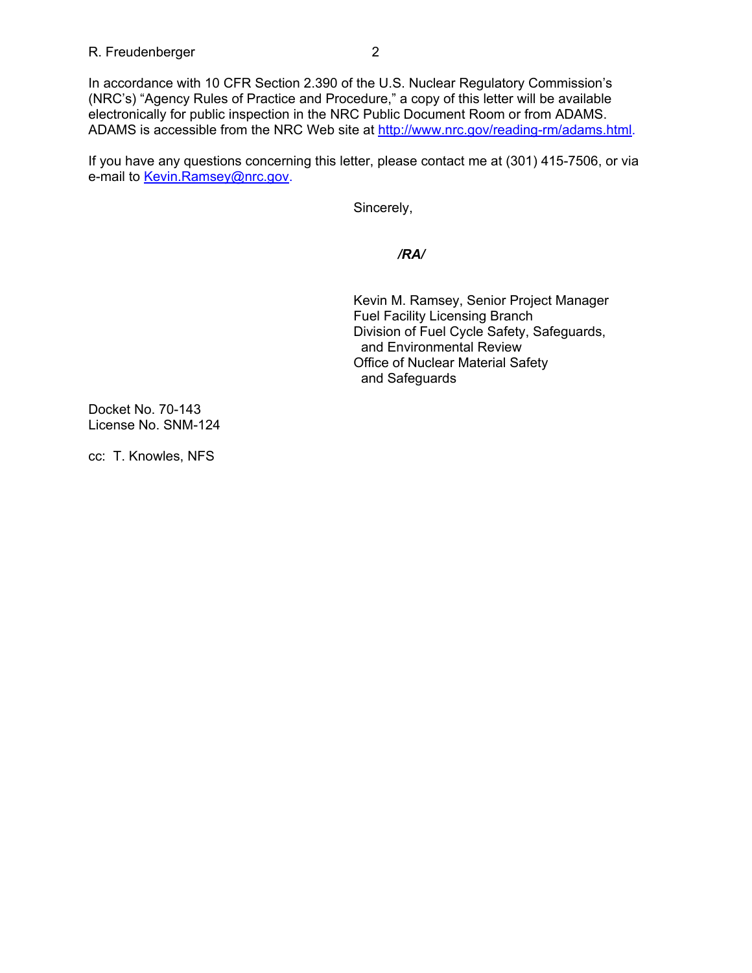In accordance with 10 CFR Section 2.390 of the U.S. Nuclear Regulatory Commission's (NRC's) "Agency Rules of Practice and Procedure," a copy of this letter will be available electronically for public inspection in the NRC Public Document Room or from ADAMS. ADAMS is accessible from the NRC Web site at http://www.nrc.gov/reading-rm/adams.html.

If you have any questions concerning this letter, please contact me at (301) 415-7506, or via e-mail to Kevin.Ramsey@nrc.gov.

Sincerely,

*/RA/* 

 Kevin M. Ramsey, Senior Project Manager Fuel Facility Licensing Branch Division of Fuel Cycle Safety, Safeguards, and Environmental Review Office of Nuclear Material Safety and Safeguards

Docket No. 70-143 License No. SNM-124

cc: T. Knowles, NFS